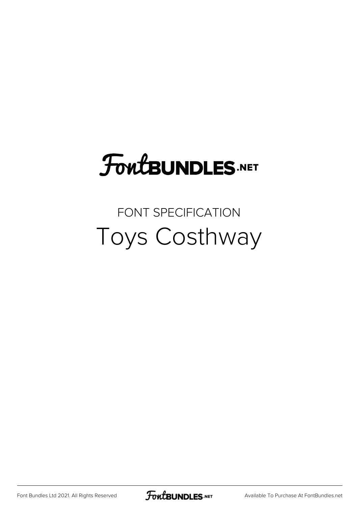### **FoutBUNDLES.NET**

#### FONT SPECIFICATION Toys Costhway

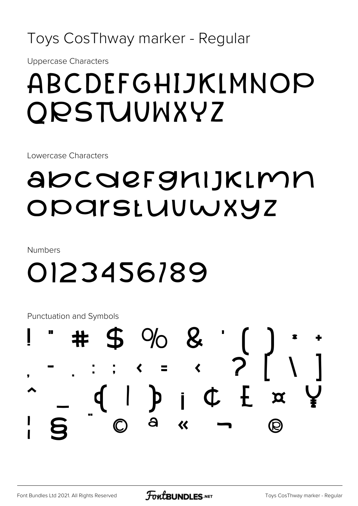Toys CosThway marker - Regular

**Uppercase Characters** 

### ABCDEFGHIJKLMNOP ORSTUUWXYZ

Lowercase Characters

#### abcdefghijkimn ODArstuuwxyz

**Numbers** 

## 0123456189

Punctuation and Symbols

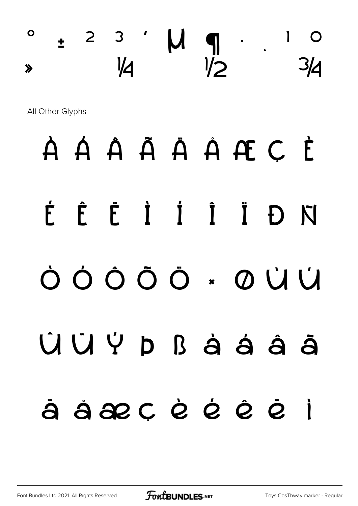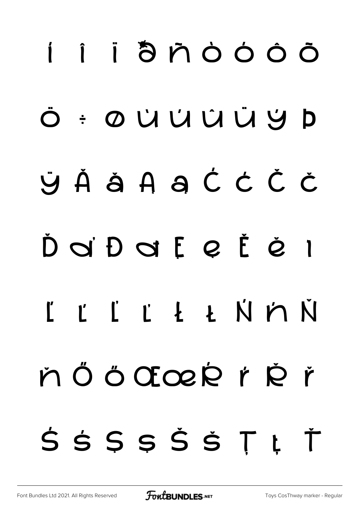# í î ï ð ñ ò ó ô õ ö ÷ ø ù ú û ü ý þ ÿ Ă ă Ą ą Ć ć Č č Ď ď Đ đ Ę ę Ě ě ı Ĺ ĺ Ľ ľ Ł ł Ń ń Ň ň Ö Ö ŒœŔ ŕ Ř ř Ś ś Ş ş Š š Ţ ţ Ť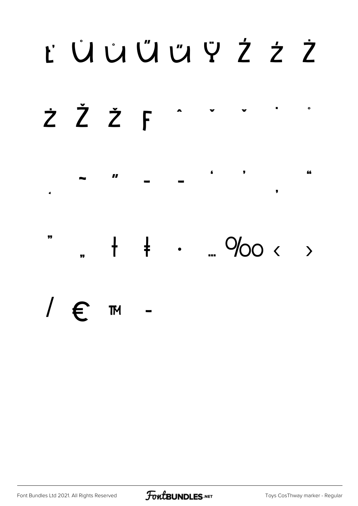## t ÜÜŰÜHY ŻŹ



 $\blacksquare$ y 66  $\mathbf{H}$  $\epsilon$ 

,,  $+ + - 900 < +$  $\overline{1}$ 

/  $\epsilon$ **TM** 

Font Bundles Ltd 2021. All Rights Reserved

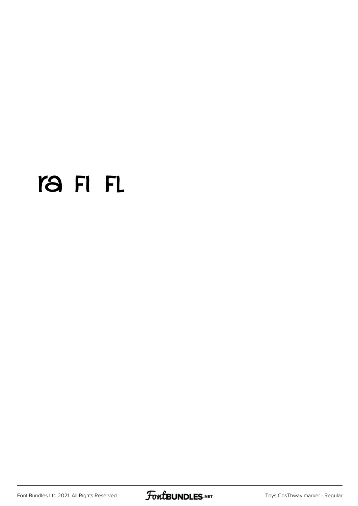#### ra FI FL

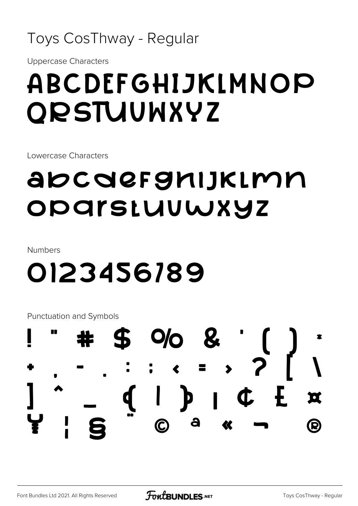#### Toys CosThway - Regular

**Uppercase Characters** 

### ABCDEFGHIJKLMNOP **ORSTUUWXYZ**

Lowercase Characters

#### abcdefghijkimn ODArstuuwxyz

**Numbers** 

### 0123456189

Punctuation and Symbols

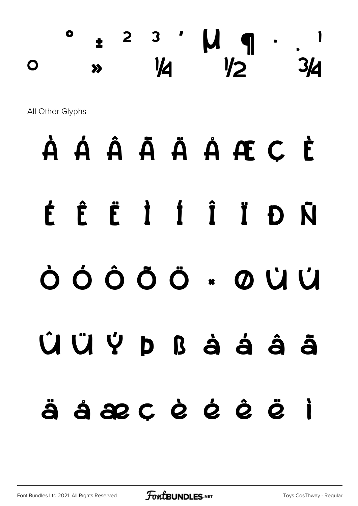#### $\pm$  <sup>2</sup> <sup>3</sup>  $\prime$   $\mu$   $\eta$   $\cdot$ º » ¼ ½ ¾

All Other Glyphs

## À Á Â Ã Ä Å Æ Ç È

# É Ê Ë Ì Í Î Ï Ð Ñ

## Ò Ó Ô Õ Ö × Ø Ù Ú

# Û Ü Ý Þ ß à á â ã

## ä å æ ç è é ê ë ì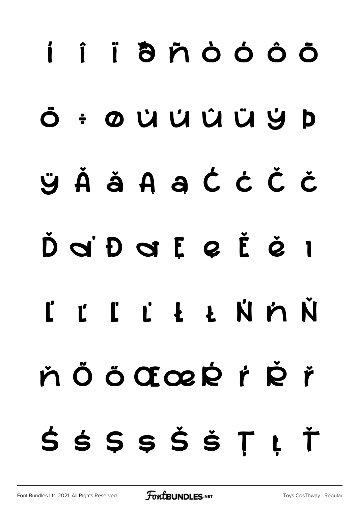# í î ï ð ñ ò ó ô õ ö ÷ ø ù ú û ü ý þ ÿ Ă ă Ą ą Ć ć Č č Ď ď Đ đ Ę ę Ě ě ı Ĺ ĺ Ľ ľ Ł ł Ń ń Ň ň Ö Ö Œœ Ŕ ŕ Ř ř Ś ś Ş ş Š š Ţ ţ Ť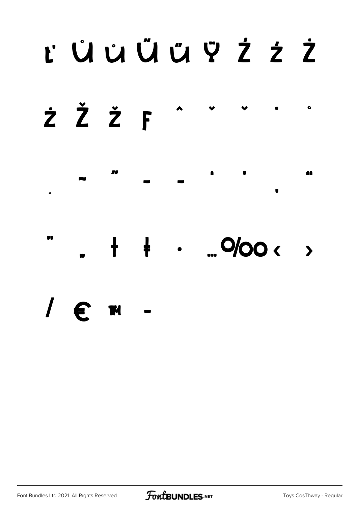## t ÜüÜüFZZ



 $\frac{1}{\sqrt{2}}$  $\frac{1}{2}$  . ... 0/00 < >

 $\ell$  m